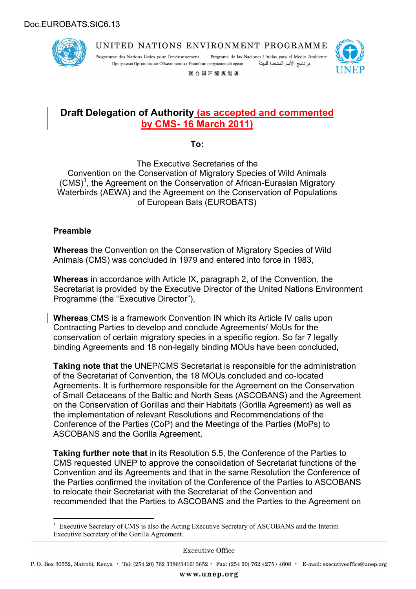

Programa de las Naciones Unidas para el Medio Ambiente Programme des Nations Unies pour l'environnement Программа Организации Объединенных Наций по окружающей среде برنامج الأمم المتحدة للبيئة



联合国环境规划署

# **Draft Delegation of Authority (as accepted and commented by CMS- 16 March 2011)**

**To:**

The Executive Secretaries of the Convention on the Conservation of Migratory Species of Wild Animals (CMS)<sup>1</sup>, the Agreement on the Conservation of African-Eurasian Migratory Waterbirds (AEWA) and the Agreement on the Conservation of Populations of European Bats (EUROBATS)

#### **Preamble**

**Whereas** the Convention on the Conservation of Migratory Species of Wild Animals (CMS) was concluded in 1979 and entered into force in 1983,

**Whereas** in accordance with Article IX, paragraph 2, of the Convention, the Secretariat is provided by the Executive Director of the United Nations Environment Programme (the "Executive Director"),

**Whereas** CMS is a framework Convention IN which its Article IV calls upon Contracting Parties to develop and conclude Agreements/ MoUs for the conservation of certain migratory species in a specific region. So far 7 legally binding Agreements and 18 non-legally binding MOUs have been concluded,

**Taking note that** the UNEP/CMS Secretariat is responsible for the administration of the Secretariat of Convention, the 18 MOUs concluded and co-located Agreements. It is furthermore responsible for the Agreement on the Conservation of Small Cetaceans of the Baltic and North Seas (ASCOBANS) and the Agreement on the Conservation of Gorillas and their Habitats (Gorilla Agreement) as well as the implementation of relevant Resolutions and Recommendations of the Conference of the Parties (CoP) and the Meetings of the Parties (MoPs) to ASCOBANS and the Gorilla Agreement,

**Taking further note that** in its Resolution 5.5, the Conference of the Parties to CMS requested UNEP to approve the consolidation of Secretariat functions of the Convention and its Agreements and that in the same Resolution the Conference of the Parties confirmed the invitation of the Conference of the Parties to ASCOBANS to relocate their Secretariat with the Secretariat of the Convention and recommended that the Parties to ASCOBANS and the Parties to the Agreement on

<sup>&</sup>lt;sup>1</sup> Executive Secretary of CMS is also the Acting Executive Secretary of ASCOBANS and the Interim Executive Secretary of the Gorilla Agreement.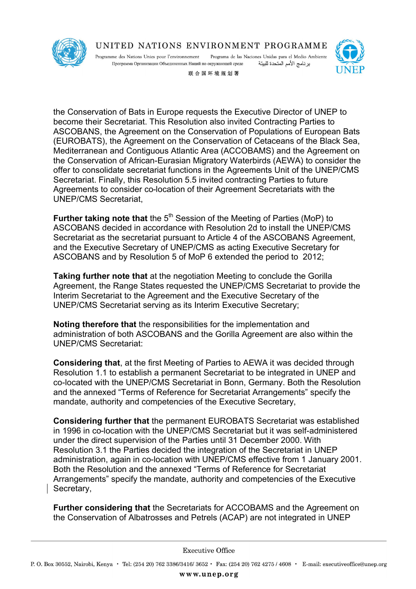

Programme des Nations Unies pour l'environnement Programa de las Naciones Unidas para el Medio Ambiente Программа Организации Объединенных Наций по окружающей среде برنامج الأمم المتحدة للبيئة



联合国环境规划署

the Conservation of Bats in Europe requests the Executive Director of UNEP to become their Secretariat. This Resolution also invited Contracting Parties to ASCOBANS, the Agreement on the Conservation of Populations of European Bats (EUROBATS), the Agreement on the Conservation of Cetaceans of the Black Sea, Mediterranean and Contiguous Atlantic Area (ACCOBAMS) and the Agreement on the Conservation of African-Eurasian Migratory Waterbirds (AEWA) to consider the offer to consolidate secretariat functions in the Agreements Unit of the UNEP/CMS Secretariat. Finally, this Resolution 5.5 invited contracting Parties to future Agreements to consider co-location of their Agreement Secretariats with the UNEP/CMS Secretariat,

Further taking note that the 5<sup>th</sup> Session of the Meeting of Parties (MoP) to ASCOBANS decided in accordance with Resolution 2d to install the UNEP/CMS Secretariat as the secretariat pursuant to Article 4 of the ASCOBANS Agreement, and the Executive Secretary of UNEP/CMS as acting Executive Secretary for ASCOBANS and by Resolution 5 of MoP 6 extended the period to 2012;

**Taking further note that** at the negotiation Meeting to conclude the Gorilla Agreement, the Range States requested the UNEP/CMS Secretariat to provide the Interim Secretariat to the Agreement and the Executive Secretary of the UNEP/CMS Secretariat serving as its Interim Executive Secretary;

**Noting therefore that** the responsibilities for the implementation and administration of both ASCOBANS and the Gorilla Agreement are also within the UNEP/CMS Secretariat:

**Considering that**, at the first Meeting of Parties to AEWA it was decided through Resolution 1.1 to establish a permanent Secretariat to be integrated in UNEP and co-located with the UNEP/CMS Secretariat in Bonn, Germany. Both the Resolution and the annexed "Terms of Reference for Secretariat Arrangements" specify the mandate, authority and competencies of the Executive Secretary,

**Considering further that** the permanent EUROBATS Secretariat was established in 1996 in co-location with the UNEP/CMS Secretariat but it was self-administered under the direct supervision of the Parties until 31 December 2000. With Resolution 3.1 the Parties decided the integration of the Secretariat in UNEP administration, again in co-location with UNEP/CMS effective from 1 January 2001. Both the Resolution and the annexed "Terms of Reference for Secretariat Arrangements" specify the mandate, authority and competencies of the Executive Secretary,

**Further considering that** the Secretariats for ACCOBAMS and the Agreement on the Conservation of Albatrosses and Petrels (ACAP) are not integrated in UNEP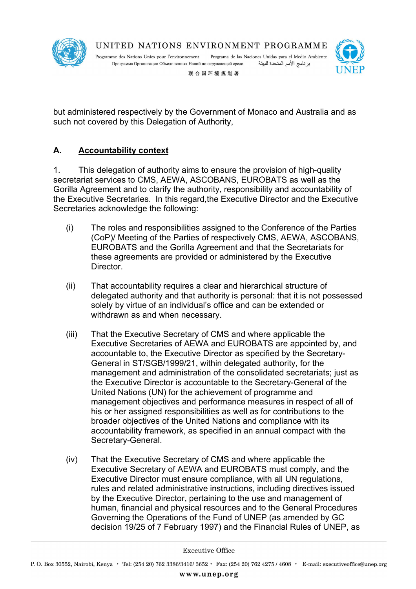

Programme des Nations Unies pour l'environnement Programa de las Naciones Unidas para el Medio Ambiente Программа Организации Объединенных Наций по окружающей среде برنامج الأمم المتحدة للبيئة



联合国环境规划署

but administered respectively by the Government of Monaco and Australia and as such not covered by this Delegation of Authority,

#### **A. Accountability context**

1. This delegation of authority aims to ensure the provision of high-quality secretariat services to CMS, AEWA, ASCOBANS, EUROBATS as well as the Gorilla Agreement and to clarify the authority, responsibility and accountability of the Executive Secretaries. In this regard,the Executive Director and the Executive Secretaries acknowledge the following:

- (i) The roles and responsibilities assigned to the Conference of the Parties (CoP)/ Meeting of the Parties of respectively CMS, AEWA, ASCOBANS, EUROBATS and the Gorilla Agreement and that the Secretariats for these agreements are provided or administered by the Executive Director.
- (ii) That accountability requires a clear and hierarchical structure of delegated authority and that authority is personal: that it is not possessed solely by virtue of an individual's office and can be extended or withdrawn as and when necessary.
- (iii) That the Executive Secretary of CMS and where applicable the Executive Secretaries of AEWA and EUROBATS are appointed by, and accountable to, the Executive Director as specified by the Secretary-General in ST/SGB/1999/21, within delegated authority, for the management and administration of the consolidated secretariats; just as the Executive Director is accountable to the Secretary-General of the United Nations (UN) for the achievement of programme and management objectives and performance measures in respect of all of his or her assigned responsibilities as well as for contributions to the broader objectives of the United Nations and compliance with its accountability framework, as specified in an annual compact with the Secretary-General.
- (iv) That the Executive Secretary of CMS and where applicable the Executive Secretary of AEWA and EUROBATS must comply, and the Executive Director must ensure compliance, with all UN regulations, rules and related administrative instructions, including directives issued by the Executive Director, pertaining to the use and management of human, financial and physical resources and to the General Procedures Governing the Operations of the Fund of UNEP (as amended by GC decision 19/25 of 7 February 1997) and the Financial Rules of UNEP, as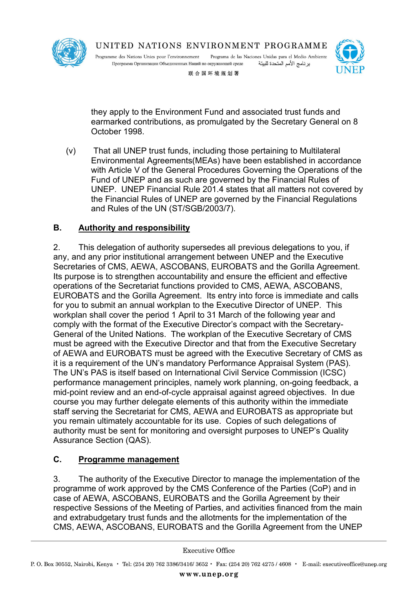

Programme des Nations Unies pour l'environnement Programa de las Naciones Unidas para el Medio Ambiente Программа Организации Объединенных Наций по окружающей среде برنامج الأمم المتحدة للبيئة

联合国环境规划署

they apply to the Environment Fund and associated trust funds and earmarked contributions, as promulgated by the Secretary General on 8 October 1998.

(v) That all UNEP trust funds, including those pertaining to Multilateral Environmental Agreements(MEAs) have been established in accordance with Article V of the General Procedures Governing the Operations of the Fund of UNEP and as such are governed by the Financial Rules of UNEP. UNEP Financial Rule 201.4 states that all matters not covered by the Financial Rules of UNEP are governed by the Financial Regulations and Rules of the UN (ST/SGB/2003/7).

# **B. Authority and responsibility**

2. This delegation of authority supersedes all previous delegations to you, if any, and any prior institutional arrangement between UNEP and the Executive Secretaries of CMS, AEWA, ASCOBANS, EUROBATS and the Gorilla Agreement. Its purpose is to strengthen accountability and ensure the efficient and effective operations of the Secretariat functions provided to CMS, AEWA, ASCOBANS, EUROBATS and the Gorilla Agreement. Its entry into force is immediate and calls for you to submit an annual workplan to the Executive Director of UNEP. This workplan shall cover the period 1 April to 31 March of the following year and comply with the format of the Executive Director's compact with the Secretary-General of the United Nations. The workplan of the Executive Secretary of CMS must be agreed with the Executive Director and that from the Executive Secretary of AEWA and EUROBATS must be agreed with the Executive Secretary of CMS as it is a requirement of the UN's mandatory Performance Appraisal System (PAS). The UN's PAS is itself based on International Civil Service Commission (ICSC) performance management principles, namely work planning, on-going feedback, a mid-point review and an end-of-cycle appraisal against agreed objectives. In due course you may further delegate elements of this authority within the immediate staff serving the Secretariat for CMS, AEWA and EUROBATS as appropriate but you remain ultimately accountable for its use. Copies of such delegations of authority must be sent for monitoring and oversight purposes to UNEP's Quality Assurance Section (QAS).

### **C. Programme management**

3. The authority of the Executive Director to manage the implementation of the programme of work approved by the CMS Conference of the Parties (CoP) and in case of AEWA, ASCOBANS, EUROBATS and the Gorilla Agreement by their respective Sessions of the Meeting of Parties, and activities financed from the main and extrabudgetary trust funds and the allotments for the implementation of the CMS, AEWA, ASCOBANS, EUROBATS and the Gorilla Agreement from the UNEP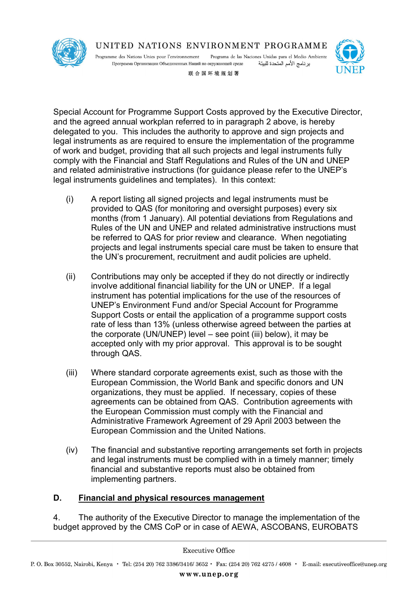

Programme des Nations Unies pour l'environnement Programa de las Naciones Unidas para el Medio Ambiente برنامج الأمم المتحدة للبيئة Программа Организации Объединенных Наций по окружающей среде



联合国环境规划署

Special Account for Programme Support Costs approved by the Executive Director, and the agreed annual workplan referred to in paragraph 2 above, is hereby delegated to you. This includes the authority to approve and sign projects and legal instruments as are required to ensure the implementation of the programme of work and budget, providing that all such projects and legal instruments fully comply with the Financial and Staff Regulations and Rules of the UN and UNEP and related administrative instructions (for guidance please refer to the UNEP's legal instruments guidelines and templates). In this context:

- (i) A report listing all signed projects and legal instruments must be provided to QAS (for monitoring and oversight purposes) every six months (from 1 January). All potential deviations from Regulations and Rules of the UN and UNEP and related administrative instructions must be referred to QAS for prior review and clearance. When negotiating projects and legal instruments special care must be taken to ensure that the UN's procurement, recruitment and audit policies are upheld.
- (ii) Contributions may only be accepted if they do not directly or indirectly involve additional financial liability for the UN or UNEP. If a legal instrument has potential implications for the use of the resources of UNEP's Environment Fund and/or Special Account for Programme Support Costs or entail the application of a programme support costs rate of less than 13% (unless otherwise agreed between the parties at the corporate (UN/UNEP) level – see point (iii) below), it may be accepted only with my prior approval. This approval is to be sought through QAS.
- (iii) Where standard corporate agreements exist, such as those with the European Commission, the World Bank and specific donors and UN organizations, they must be applied. If necessary, copies of these agreements can be obtained from QAS. Contribution agreements with the European Commission must comply with the Financial and Administrative Framework Agreement of 29 April 2003 between the European Commission and the United Nations.
- (iv) The financial and substantive reporting arrangements set forth in projects and legal instruments must be complied with in a timely manner; timely financial and substantive reports must also be obtained from implementing partners.

### **D. Financial and physical resources management**

4. The authority of the Executive Director to manage the implementation of the budget approved by the CMS CoP or in case of AEWA, ASCOBANS, EUROBATS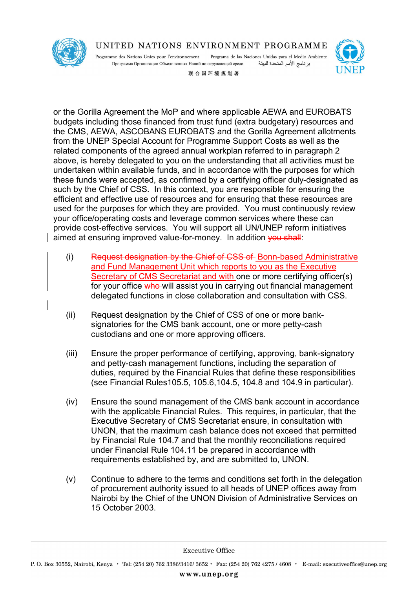

Programme des Nations Unies pour l'environnement Programa de las Naciones Unidas para el Medio Ambiente Программа Организации Объединенных Наций по окружающей среде برنامج الأمم المتحدة للبيئة



联合国环境规划署

or the Gorilla Agreement the MoP and where applicable AEWA and EUROBATS budgets including those financed from trust fund (extra budgetary) resources and the CMS, AEWA, ASCOBANS EUROBATS and the Gorilla Agreement allotments from the UNEP Special Account for Programme Support Costs as well as the related components of the agreed annual workplan referred to in paragraph 2 above, is hereby delegated to you on the understanding that all activities must be undertaken within available funds, and in accordance with the purposes for which these funds were accepted, as confirmed by a certifying officer duly-designated as such by the Chief of CSS. In this context, you are responsible for ensuring the efficient and effective use of resources and for ensuring that these resources are used for the purposes for which they are provided. You must continuously review your office/operating costs and leverage common services where these can provide cost-effective services. You will support all UN/UNEP reform initiatives aimed at ensuring improved value-for-money. In addition you shall:

- (i) Request designation by the Chief of CSS of Bonn-based Administrative and Fund Management Unit which reports to you as the Executive Secretary of CMS Secretariat and with one or more certifying officer(s) for your office who will assist you in carrying out financial management delegated functions in close collaboration and consultation with CSS.
- (ii) Request designation by the Chief of CSS of one or more banksignatories for the CMS bank account, one or more petty-cash custodians and one or more approving officers.
- (iii) Ensure the proper performance of certifying, approving, bank-signatory and petty-cash management functions, including the separation of duties, required by the Financial Rules that define these responsibilities (see Financial Rules105.5, 105.6,104.5, 104.8 and 104.9 in particular).
- (iv) Ensure the sound management of the CMS bank account in accordance with the applicable Financial Rules. This requires, in particular, that the Executive Secretary of CMS Secretariat ensure, in consultation with UNON, that the maximum cash balance does not exceed that permitted by Financial Rule 104.7 and that the monthly reconciliations required under Financial Rule 104.11 be prepared in accordance with requirements established by, and are submitted to, UNON.
- (v) Continue to adhere to the terms and conditions set forth in the delegation of procurement authority issued to all heads of UNEP offices away from Nairobi by the Chief of the UNON Division of Administrative Services on 15 October 2003.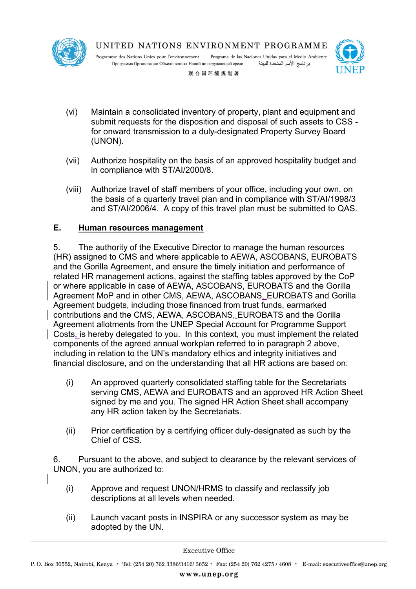

Programme des Nations Unies pour l'environnement Programa de las Naciones Unidas para el Medio Ambiente Программа Организации Объединенных Наций по окружающей среде برنامج الأمم المتحدة للبيئة



联合国环境规划署

- (vi) Maintain a consolidated inventory of property, plant and equipment and submit requests for the disposition and disposal of such assets to CSS  for onward transmission to a duly-designated Property Survey Board (UNON).
- (vii) Authorize hospitality on the basis of an approved hospitality budget and in compliance with ST/AI/2000/8.
- (viii) Authorize travel of staff members of your office, including your own, on the basis of a quarterly travel plan and in compliance with ST/AI/1998/3 and ST/AI/2006/4. A copy of this travel plan must be submitted to QAS.

# **E. Human resources management**

5. The authority of the Executive Director to manage the human resources (HR) assigned to CMS and where applicable to AEWA, ASCOBANS, EUROBATS and the Gorilla Agreement, and ensure the timely initiation and performance of related HR management actions, against the staffing tables approved by the CoP or where applicable in case of AEWA, ASCOBANS, EUROBATS and the Gorilla Agreement MoP and in other CMS, AEWA, ASCOBANS, EUROBATS and Gorilla Agreement budgets, including those financed from trust funds, earmarked contributions and the CMS, AEWA, ASCOBANS, EUROBATS and the Gorilla Agreement allotments from the UNEP Special Account for Programme Support Costs, is hereby delegated to you. In this context, you must implement the related components of the agreed annual workplan referred to in paragraph 2 above, including in relation to the UN's mandatory ethics and integrity initiatives and financial disclosure, and on the understanding that all HR actions are based on:

- (i) An approved quarterly consolidated staffing table for the Secretariats serving CMS, AEWA and EUROBATS and an approved HR Action Sheet signed by me and you. The signed HR Action Sheet shall accompany any HR action taken by the Secretariats.
- (ii) Prior certification by a certifying officer duly-designated as such by the Chief of CSS.

6. Pursuant to the above, and subject to clearance by the relevant services of UNON, you are authorized to:

- (i) Approve and request UNON/HRMS to classify and reclassify job descriptions at all levels when needed.
- (ii) Launch vacant posts in INSPIRA or any successor system as may be adopted by the UN.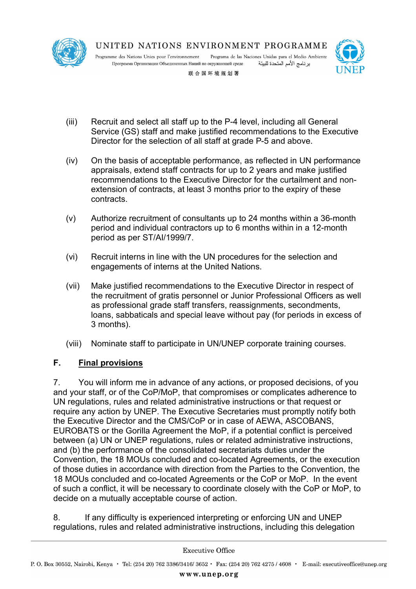

Programa de las Naciones Unidas para el Medio Ambiente Programme des Nations Unies pour l'environnement Программа Организации Объединенных Наций по окружающей среде برنامج الأمم المتحدة للبيئة



联合国环境规划署

- (iii) Recruit and select all staff up to the P-4 level, including all General Service (GS) staff and make justified recommendations to the Executive Director for the selection of all staff at grade P-5 and above.
- (iv) On the basis of acceptable performance, as reflected in UN performance appraisals, extend staff contracts for up to 2 years and make justified recommendations to the Executive Director for the curtailment and nonextension of contracts, at least 3 months prior to the expiry of these contracts.
- (v) Authorize recruitment of consultants up to 24 months within a 36-month period and individual contractors up to 6 months within in a 12-month period as per ST/AI/1999/7.
- (vi) Recruit interns in line with the UN procedures for the selection and engagements of interns at the United Nations.
- (vii) Make justified recommendations to the Executive Director in respect of the recruitment of gratis personnel or Junior Professional Officers as well as professional grade staff transfers, reassignments, secondments, loans, sabbaticals and special leave without pay (for periods in excess of 3 months).
- (viii) Nominate staff to participate in UN/UNEP corporate training courses.

### **F. Final provisions**

7. You will inform me in advance of any actions, or proposed decisions, of you and your staff, or of the CoP/MoP, that compromises or complicates adherence to UN regulations, rules and related administrative instructions or that request or require any action by UNEP. The Executive Secretaries must promptly notify both the Executive Director and the CMS/CoP or in case of AEWA, ASCOBANS, EUROBATS or the Gorilla Agreement the MoP, if a potential conflict is perceived between (a) UN or UNEP regulations, rules or related administrative instructions, and (b) the performance of the consolidated secretariats duties under the Convention, the 18 MOUs concluded and co-located Agreements, or the execution of those duties in accordance with direction from the Parties to the Convention, the 18 MOUs concluded and co-located Agreements or the CoP or MoP. In the event of such a conflict, it will be necessary to coordinate closely with the CoP or MoP, to decide on a mutually acceptable course of action.

8. If any difficulty is experienced interpreting or enforcing UN and UNEP regulations, rules and related administrative instructions, including this delegation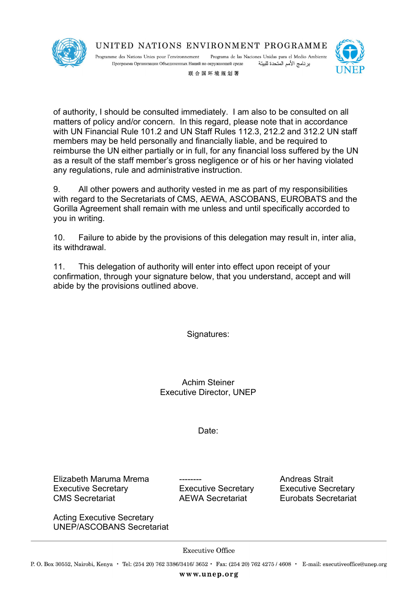

Programa de las Naciones Unidas para el Medio Ambiente Programme des Nations Unies pour l'environnement Программа Организации Объединенных Наций по окружающей среде برنامج الأمم المتحدة للبيئة



联合国环境规划署

of authority, I should be consulted immediately. I am also to be consulted on all matters of policy and/or concern. In this regard, please note that in accordance with UN Financial Rule 101.2 and UN Staff Rules 112.3, 212.2 and 312.2 UN staff members may be held personally and financially liable, and be required to reimburse the UN either partially or in full, for any financial loss suffered by the UN as a result of the staff member's gross negligence or of his or her having violated any regulations, rule and administrative instruction.

9. All other powers and authority vested in me as part of my responsibilities with regard to the Secretariats of CMS, AEWA, ASCOBANS, EUROBATS and the Gorilla Agreement shall remain with me unless and until specifically accorded to you in writing.

10. Failure to abide by the provisions of this delegation may result in, inter alia, its withdrawal.

11. This delegation of authority will enter into effect upon receipt of your confirmation, through your signature below, that you understand, accept and will abide by the provisions outlined above.

Signatures:

Achim Steiner Executive Director, UNEP

Date:

Elizabeth Maruma Mrema -------- Andreas Strait Executive Secretary Executive Secretary Executive Secretary CMS Secretariat AEWA Secretariat Eurobats Secretariat

Acting Executive Secretary UNEP/ASCOBANS Secretariat

**Executive Office**